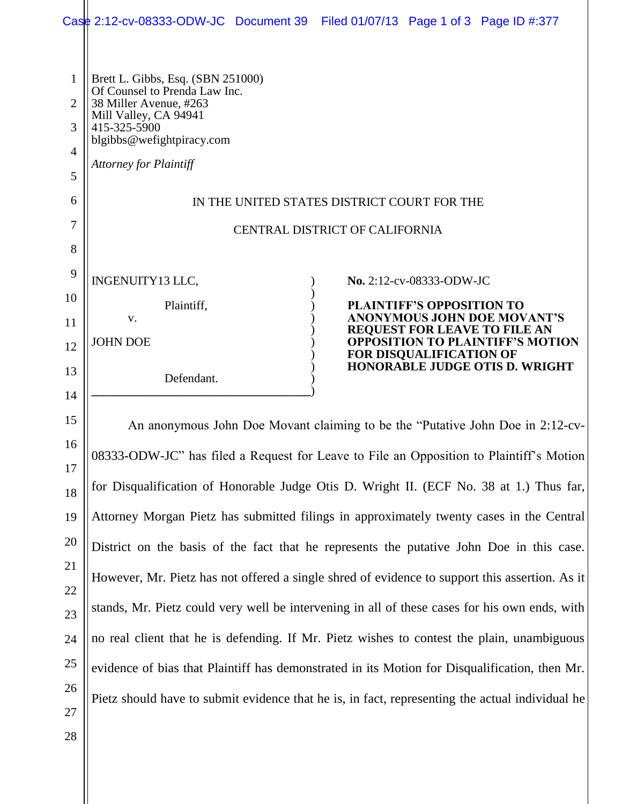|                                                 |                                                                                                                                                                                                     | Case 2:12-cv-08333-ODW-JC Document 39 Filed 01/07/13 Page 1 of 3 Page ID #:377 |
|-------------------------------------------------|-----------------------------------------------------------------------------------------------------------------------------------------------------------------------------------------------------|--------------------------------------------------------------------------------|
| 1<br>$\overline{2}$<br>3<br>$\overline{4}$<br>5 | Brett L. Gibbs, Esq. (SBN 251000)<br>Of Counsel to Prenda Law Inc.<br>38 Miller Avenue, #263<br>Mill Valley, CA 94941<br>415-325-5900<br>blgibbs@wefightpiracy.com<br><b>Attorney for Plaintiff</b> |                                                                                |
| 6                                               | IN THE UNITED STATES DISTRICT COURT FOR THE                                                                                                                                                         |                                                                                |
| 7                                               | CENTRAL DISTRICT OF CALIFORNIA                                                                                                                                                                      |                                                                                |
| 8                                               |                                                                                                                                                                                                     |                                                                                |
| 9                                               | INGENUITY13 LLC,                                                                                                                                                                                    | No. 2:12-cv-08333-ODW-JC                                                       |
| 10                                              | Plaintiff,                                                                                                                                                                                          | <b>PLAINTIFF'S OPPOSITION TO</b>                                               |
| 11                                              | V.                                                                                                                                                                                                  | ANONYMOUS JOHN DOE MOVANT'S<br>REQUEST FOR LEAVE TO FILE AN                    |
| 12                                              | <b>JOHN DOE</b>                                                                                                                                                                                     | <b>OPPOSITION TO PLAINTIFF'S MOTION</b><br>FOR DISQUALIFICATION OF             |
| 13<br>14                                        | Defendant.                                                                                                                                                                                          | <b>HONORABLE JUDGE OTIS D. WRIGHT</b>                                          |
| 15<br>16                                        | An anonymous John Doe Movant claiming to be the "Putative John Doe in 2:12-cv-                                                                                                                      |                                                                                |

08333-ODW-JC" has filed a Request for Leave to File an Opposition to Plaintiff's Motion for Disqualification of Honorable Judge Otis D. Wright II. (ECF No. 38 at 1.) Thus far, Attorney Morgan Pietz has submitted filings in approximately twenty cases in the Central District on the basis of the fact that he represents the putative John Doe in this case. However, Mr. Pietz has not offered a single shred of evidence to support this assertion. As it stands, Mr. Pietz could very well be intervening in all of these cases for his own ends, with no real client that he is defending. If Mr. Pietz wishes to contest the plain, unambiguous evidence of bias that Plaintiff has demonstrated in its Motion for Disqualification, then Mr. Pietz should have to submit evidence that he is, in fact, representing the actual individual he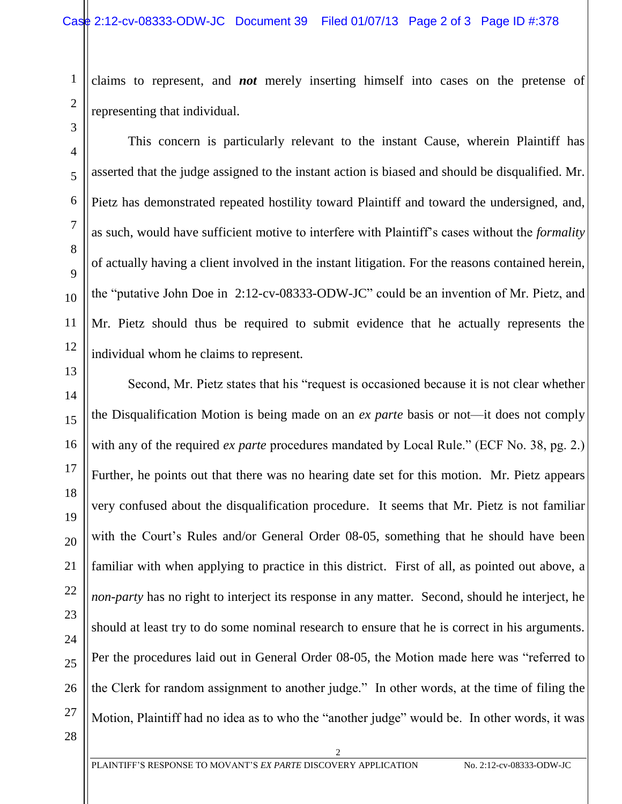claims to represent, and *not* merely inserting himself into cases on the pretense of representing that individual.

This concern is particularly relevant to the instant Cause, wherein Plaintiff has asserted that the judge assigned to the instant action is biased and should be disqualified. Mr. Pietz has demonstrated repeated hostility toward Plaintiff and toward the undersigned, and, as such, would have sufficient motive to interfere with Plaintiff's cases without the *formality* of actually having a client involved in the instant litigation. For the reasons contained herein, the "putative John Doe in 2:12-cv-08333-ODW-JC" could be an invention of Mr. Pietz, and Mr. Pietz should thus be required to submit evidence that he actually represents the individual whom he claims to represent.

14 16 18 22 25 26 Second, Mr. Pietz states that his "request is occasioned because it is not clear whether the Disqualification Motion is being made on an *ex parte* basis or not—it does not comply with any of the required *ex parte* procedures mandated by Local Rule." (ECF No. 38, pg. 2.) Further, he points out that there was no hearing date set for this motion. Mr. Pietz appears very confused about the disqualification procedure. It seems that Mr. Pietz is not familiar with the Court's Rules and/or General Order 08-05, something that he should have been familiar with when applying to practice in this district. First of all, as pointed out above, a *non-party* has no right to interject its response in any matter. Second, should he interject, he should at least try to do some nominal research to ensure that he is correct in his arguments. Per the procedures laid out in General Order 08-05, the Motion made here was "referred to the Clerk for random assignment to another judge." In other words, at the time of filing the Motion, Plaintiff had no idea as to who the "another judge" would be. In other words, it was

2

28

27

1

2

3

4

5

6

7

8

9

10

11

12

13

15

17

19

20

21

23

24